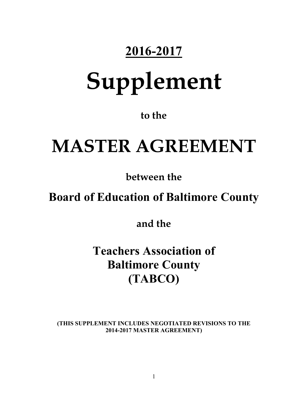### **2016-2017**

# **Supplement**

**to the** 

## **MASTER AGREEMENT**

**between the** 

### **Board of Education of Baltimore County**

**and the** 

**Teachers Association of Baltimore County (TABCO)**

**(THIS SUPPLEMENT INCLUDES NEGOTIATED REVISIONS TO THE 2014-2017 MASTER AGREEMENT)**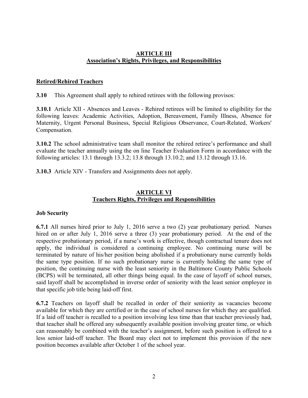#### **ARTICLE III Association's Rights, Privileges, and Responsibilities**

#### **Retired/Rehired Teachers**

**3.10** This Agreement shall apply to rehired retirees with the following provisos:

**3.10.1** Article XII - Absences and Leaves - Rehired retirees will be limited to eligibility for the following leaves: Academic Activities, Adoption, Bereavement, Family Illness, Absence for Maternity, Urgent Personal Business, Special Religious Observance, Court-Related, Workers' Compensation.

**3.10.2** The school administrative team shall monitor the rehired retiree's performance and shall evaluate the teacher annually using the on line Teacher Evaluation Form in accordance with the following articles: 13.1 through 13.3.2; 13.8 through 13.10.2; and 13.12 through 13.16.

**3.10.3** Article XIV - Transfers and Assignments does not apply.

#### **ARTICLE VI Teachers Rights, Privileges and Responsibilities**

#### **Job Security**

**6.7.1** All nurses hired prior to July 1, 2016 serve a two (2) year probationary period. Nurses hired on or after July 1, 2016 serve a three (3) year probationary period. At the end of the respective probationary period, if a nurse's work is effective, though contractual tenure does not apply, the individual is considered a continuing employee. No continuing nurse will be terminated by nature of his/her position being abolished if a probationary nurse currently holds the same type position. If no such probationary nurse is currently holding the same type of position, the continuing nurse with the least seniority in the Baltimore County Public Schools (BCPS) will be terminated, all other things being equal. In the case of layoff of school nurses, said layoff shall be accomplished in inverse order of seniority with the least senior employee in that specific job title being laid-off first.

**6.7.2** Teachers on layoff shall be recalled in order of their seniority as vacancies become available for which they are certified or in the case of school nurses for which they are qualified. If a laid off teacher is recalled to a position involving less time than that teacher previously had, that teacher shall be offered any subsequently available position involving greater time, or which can reasonably be combined with the teacher's assignment, before such position is offered to a less senior laid-off teacher. The Board may elect not to implement this provision if the new position becomes available after October 1 of the school year.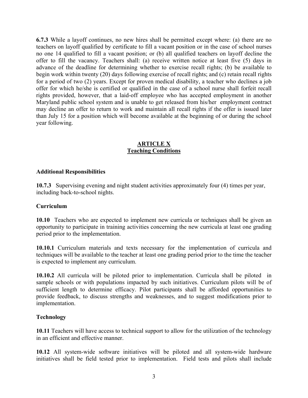**6.7.3** While a layoff continues, no new hires shall be permitted except where: (a) there are no teachers on layoff qualified by certificate to fill a vacant position or in the case of school nurses no one 14 qualified to fill a vacant position; or (b) all qualified teachers on layoff decline the offer to fill the vacancy. Teachers shall: (a) receive written notice at least five (5) days in advance of the deadline for determining whether to exercise recall rights; (b) be available to begin work within twenty (20) days following exercise of recall rights; and (c) retain recall rights for a period of two (2) years. Except for proven medical disability, a teacher who declines a job offer for which he/she is certified or qualified in the case of a school nurse shall forfeit recall rights provided, however, that a laid-off employee who has accepted employment in another Maryland public school system and is unable to get released from his/her employment contract may decline an offer to return to work and maintain all recall rights if the offer is issued later than July 15 for a position which will become available at the beginning of or during the school year following.

#### **ARTICLE X Teaching Conditions**

#### **Additional Responsibilities**

**10.7.3** Supervising evening and night student activities approximately four (4) times per year, including back-to-school nights.

#### **Curriculum**

**10.10** Teachers who are expected to implement new curricula or techniques shall be given an opportunity to participate in training activities concerning the new curricula at least one grading period prior to the implementation.

**10.10.1** Curriculum materials and texts necessary for the implementation of curricula and techniques will be available to the teacher at least one grading period prior to the time the teacher is expected to implement any curriculum.

**10.10.2** All curricula will be piloted prior to implementation. Curricula shall be piloted in sample schools or with populations impacted by such initiatives. Curriculum pilots will be of sufficient length to determine efficacy. Pilot participants shall be afforded opportunities to provide feedback, to discuss strengths and weaknesses, and to suggest modifications prior to implementation.

#### **Technology**

**10.11** Teachers will have access to technical support to allow for the utilization of the technology in an efficient and effective manner.

**10.12** All system-wide software initiatives will be piloted and all system-wide hardware initiatives shall be field tested prior to implementation. Field tests and pilots shall include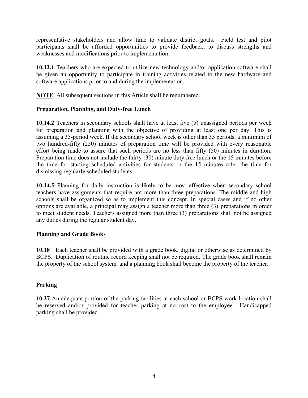representative stakeholders and allow time to validate district goals. Field test and pilot participants shall be afforded opportunities to provide feedback, to discuss strengths and weaknesses and modifications prior to implementation.

**10.12.1** Teachers who are expected to utilize new technology and/or application software shall be given an opportunity to participate in training activities related to the new hardware and software applications prior to and during the implementation.

**NOTE**: All subsequent sections in this Article shall be renumbered.

#### **Preparation, Planning, and Duty-free Lunch**

**10.14.2** Teachers in secondary schools shall have at least five (5) unassigned periods per week for preparation and planning with the objective of providing at least one per day. This is assuming a 35-period week. If the secondary school week is other than 35 periods, a minimum of two hundred-fifty (250) minutes of preparation time will be provided with every reasonable effort being made to assure that such periods are no less than fifty (50) minutes in duration. Preparation time does not include the thirty (30) minute duty free lunch or the 15 minutes before the time for starting scheduled activities for students or the 15 minutes after the time for dismissing regularly scheduled students.

**10.14.5** Planning for daily instruction is likely to be most effective when secondary school teachers have assignments that require not more than three preparations. The middle and high schools shall be organized so as to implement this concept. In special cases and if no other options are available, a principal may assign a teacher more than three (3) preparations in order to meet student needs. Teachers assigned more than three (3) preparations shall not be assigned any duties during the regular student day.

#### **Planning and Grade Books**

**10.18** Each teacher shall be provided with a grade book, digital or otherwise as determined by BCPS. Duplication of routine record keeping shall not be required. The grade book shall remain the property of the school system and a planning book shall become the property of the teacher.

#### **Parking**

**10.27** An adequate portion of the parking facilities at each school or BCPS work location shall be reserved and/or provided for teacher parking at no cost to the employee. Handicapped parking shall be provided.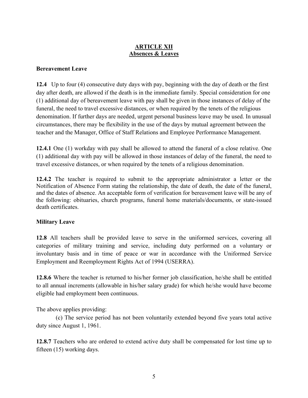#### **ARTICLE XII Absences & Leaves**

#### **Bereavement Leave**

**12.4** Up to four (4) consecutive duty days with pay, beginning with the day of death or the first day after death, are allowed if the death is in the immediate family. Special consideration for one (1) additional day of bereavement leave with pay shall be given in those instances of delay of the funeral, the need to travel excessive distances, or when required by the tenets of the religious denomination. If further days are needed, urgent personal business leave may be used. In unusual circumstances, there may be flexibility in the use of the days by mutual agreement between the teacher and the Manager, Office of Staff Relations and Employee Performance Management.

**12.4.1** One (1) workday with pay shall be allowed to attend the funeral of a close relative. One (1) additional day with pay will be allowed in those instances of delay of the funeral, the need to travel excessive distances, or when required by the tenets of a religious denomination.

**12.4.2** The teacher is required to submit to the appropriate administrator a letter or the Notification of Absence Form stating the relationship, the date of death, the date of the funeral, and the dates of absence. An acceptable form of verification for bereavement leave will be any of the following: obituaries, church programs, funeral home materials/documents, or state-issued death certificates.

#### **Military Leave**

**12.8** All teachers shall be provided leave to serve in the uniformed services, covering all categories of military training and service, including duty performed on a voluntary or involuntary basis and in time of peace or war in accordance with the Uniformed Service Employment and Reemployment Rights Act of 1994 (USERRA).

**12.8.6** Where the teacher is returned to his/her former job classification, he/she shall be entitled to all annual increments (allowable in his/her salary grade) for which he/she would have become eligible had employment been continuous.

The above applies providing:

 (c) The service period has not been voluntarily extended beyond five years total active duty since August 1, 1961.

**12.8.7** Teachers who are ordered to extend active duty shall be compensated for lost time up to fifteen (15) working days.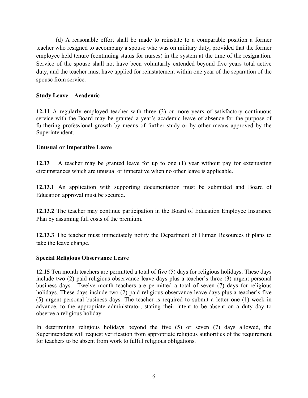(d) A reasonable effort shall be made to reinstate to a comparable position a former teacher who resigned to accompany a spouse who was on military duty, provided that the former employee held tenure (continuing status for nurses) in the system at the time of the resignation. Service of the spouse shall not have been voluntarily extended beyond five years total active duty, and the teacher must have applied for reinstatement within one year of the separation of the spouse from service.

#### **Study Leave—Academic**

**12.11** A regularly employed teacher with three (3) or more years of satisfactory continuous service with the Board may be granted a year's academic leave of absence for the purpose of furthering professional growth by means of further study or by other means approved by the Superintendent.

#### **Unusual or Imperative Leave**

**12.13** A teacher may be granted leave for up to one (1) year without pay for extenuating circumstances which are unusual or imperative when no other leave is applicable.

**12.13.1** An application with supporting documentation must be submitted and Board of Education approval must be secured.

**12.13.2** The teacher may continue participation in the Board of Education Employee Insurance Plan by assuming full costs of the premium.

**12.13.3** The teacher must immediately notify the Department of Human Resources if plans to take the leave change.

#### **Special Religious Observance Leave**

**12.15** Ten month teachers are permitted a total of five (5) days for religious holidays. These days include two (2) paid religious observance leave days plus a teacher's three (3) urgent personal business days. Twelve month teachers are permitted a total of seven (7) days for religious holidays. These days include two (2) paid religious observance leave days plus a teacher's five (5) urgent personal business days. The teacher is required to submit a letter one (1) week in advance, to the appropriate administrator, stating their intent to be absent on a duty day to observe a religious holiday.

In determining religious holidays beyond the five (5) or seven (7) days allowed, the Superintendent will request verification from appropriate religious authorities of the requirement for teachers to be absent from work to fulfill religious obligations.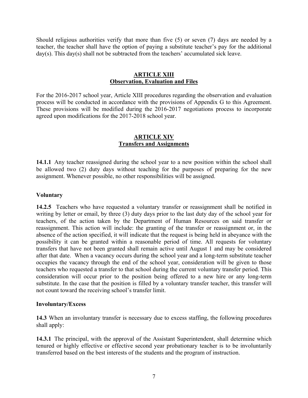Should religious authorities verify that more than five (5) or seven (7) days are needed by a teacher, the teacher shall have the option of paying a substitute teacher's pay for the additional day(s). This day(s) shall not be subtracted from the teachers' accumulated sick leave.

#### **ARTICLE XIII Observation, Evaluation and Files**

For the 2016-2017 school year, Article XIII procedures regarding the observation and evaluation process will be conducted in accordance with the provisions of Appendix G to this Agreement. These provisions will be modified during the 2016-2017 negotiations process to incorporate agreed upon modifications for the 2017-2018 school year.

#### **ARTICLE XIV Transfers and Assignments**

**14.1.1** Any teacher reassigned during the school year to a new position within the school shall be allowed two (2) duty days without teaching for the purposes of preparing for the new assignment. Whenever possible, no other responsibilities will be assigned.

#### **Voluntary**

**14.2.5** Teachers who have requested a voluntary transfer or reassignment shall be notified in writing by letter or email, by three (3) duty days prior to the last duty day of the school year for teachers, of the action taken by the Department of Human Resources on said transfer or reassignment. This action will include: the granting of the transfer or reassignment or, in the absence of the action specified, it will indicate that the request is being held in abeyance with the possibility it can be granted within a reasonable period of time. All requests for voluntary transfers that have not been granted shall remain active until August 1 and may be considered after that date. When a vacancy occurs during the school year and a long-term substitute teacher occupies the vacancy through the end of the school year, consideration will be given to those teachers who requested a transfer to that school during the current voluntary transfer period. This consideration will occur prior to the position being offered to a new hire or any long-term substitute. In the case that the position is filled by a voluntary transfer teacher, this transfer will not count toward the receiving school's transfer limit.

#### **Involuntary/Excess**

**14.3** When an involuntary transfer is necessary due to excess staffing, the following procedures shall apply:

**14.3.1** The principal, with the approval of the Assistant Superintendent, shall determine which tenured or highly effective or effective second year probationary teacher is to be involuntarily transferred based on the best interests of the students and the program of instruction.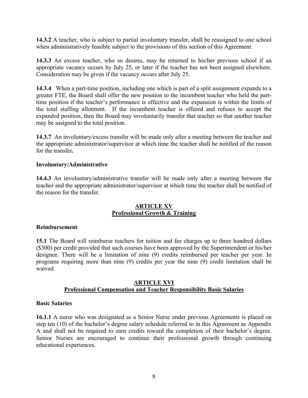**14.3.2** A teacher, who is subject to partial involuntary transfer, shall be reassigned to one school when administratively feasible subject to the provisions of this section of this Agreement.

**14.3.3** An excess teacher, who so desires, may be returned to his/her previous school if an appropriate vacancy occurs by July 25, or later if the teacher has not been assigned elsewhere. Consideration may be given if the vacancy occurs after July 25.

**14.3.4** When a part-time position, including one which is part of a split assignment expands to a greater FTE, the Board shall offer the new position to the incumbent teacher who held the parttime position if the teacher's performance is effective and the expansion is within the limits of the total staffing allotment. If the incumbent teacher is offered and refuses to accept the expanded position, then the Board may involuntarily transfer that teacher so that another teacher may be assigned to the total position.

**14.3.7** An involuntary/excess transfer will be made only after a meeting between the teacher and the appropriate administrator/supervisor at which time the teacher shall be notified of the reason for the transfer**.**

#### **Involuntary/Administrative**

**14.4.3** An involuntary/administrative transfer will be made only after a meeting between the teacher and the appropriate administrator/supervisor at which time the teacher shall be notified of the reason for the transfer.

#### **ARTICLE XV Professional Growth & Training**

#### **Reimbursement**

**15.1** The Board will reimburse teachers for tuition and fee charges up to three hundred dollars (\$300) per credit provided that such courses have been approved by the Superintendent or his/her designee. There will be a limitation of nine (9) credits reimbursed per teacher per year. In programs requiring more than nine (9) credits per year the nine (9) credit limitation shall be waived.

#### **ARTICLE XVI Professional Compensation and Teacher Responsibility Basic Salaries**

#### **Basic Salaries**

**16.1.1** A nurse who was designated as a Senior Nurse under previous Agreements is placed on step ten (10) of the bachelor's degree salary schedule referred to in this Agreement as Appendix A and shall not be required to earn credits toward the completion of their bachelor's degree. Senior Nurses are encouraged to continue their professional growth through continuing educational experiences.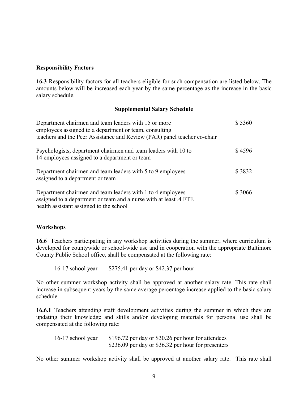#### **Responsibility Factors**

**16.3** Responsibility factors for all teachers eligible for such compensation are listed below. The amounts below will be increased each year by the same percentage as the increase in the basic salary schedule.

#### **Supplemental Salary Schedule**

| Department chairmen and team leaders with 15 or more<br>employees assigned to a department or team, consulting<br>teachers and the Peer Assistance and Review (PAR) panel teacher co-chair | \$5360 |
|--------------------------------------------------------------------------------------------------------------------------------------------------------------------------------------------|--------|
| Psychologists, department chairmen and team leaders with 10 to<br>14 employees assigned to a department or team                                                                            | \$4596 |
| Department chairmen and team leaders with 5 to 9 employees<br>assigned to a department or team                                                                                             | \$3832 |
| Department chairmen and team leaders with 1 to 4 employees<br>assigned to a department or team and a nurse with at least .4 FTE<br>health assistant assigned to the school                 | \$3066 |

#### **Workshops**

**16.6** Teachers participating in any workshop activities during the summer, where curriculum is developed for countywide or school-wide use and in cooperation with the appropriate Baltimore County Public School office, shall be compensated at the following rate:

16-17 school year \$275.41 per day or \$42.37 per hour

No other summer workshop activity shall be approved at another salary rate. This rate shall increase in subsequent years by the same average percentage increase applied to the basic salary schedule.

**16.6.1** Teachers attending staff development activities during the summer in which they are updating their knowledge and skills and/or developing materials for personal use shall be compensated at the following rate:

16-17 school year \$196.72 per day or \$30.26 per hour for attendees \$236.09 per day or \$36.32 per hour for presenters

No other summer workshop activity shall be approved at another salary rate. This rate shall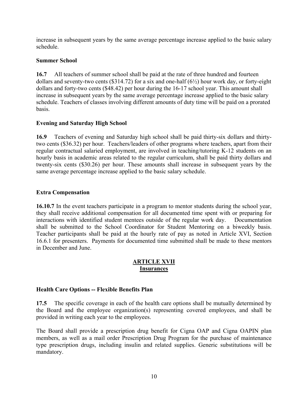increase in subsequent years by the same average percentage increase applied to the basic salary schedule.

#### **Summer School**

**16.7** All teachers of summer school shall be paid at the rate of three hundred and fourteen dollars and seventy-two cents (\$314.72) for a six and one-half  $(6\frac{1}{2})$  hour work day, or forty-eight dollars and forty-two cents (\$48.42) per hour during the 16-17 school year. This amount shall increase in subsequent years by the same average percentage increase applied to the basic salary schedule. Teachers of classes involving different amounts of duty time will be paid on a prorated basis.

#### **Evening and Saturday High School**

**16.9** Teachers of evening and Saturday high school shall be paid thirty-six dollars and thirtytwo cents (\$36.32) per hour. Teachers/leaders of other programs where teachers, apart from their regular contractual salaried employment, are involved in teaching/tutoring K-12 students on an hourly basis in academic areas related to the regular curriculum, shall be paid thirty dollars and twenty-six cents (\$30.26) per hour. These amounts shall increase in subsequent years by the same average percentage increase applied to the basic salary schedule.

#### **Extra Compensation**

**16.10.7** In the event teachers participate in a program to mentor students during the school year, they shall receive additional compensation for all documented time spent with or preparing for interactions with identified student mentees outside of the regular work day. Documentation shall be submitted to the School Coordinator for Student Mentoring on a biweekly basis. Teacher participants shall be paid at the hourly rate of pay as noted in Article XVI, Section 16.6.1 for presenters. Payments for documented time submitted shall be made to these mentors in December and June.

#### **ARTICLE XVII Insurances**

#### **Health Care Options -- Flexible Benefits Plan**

**17.5** The specific coverage in each of the health care options shall be mutually determined by the Board and the employee organization(s) representing covered employees, and shall be provided in writing each year to the employees.

The Board shall provide a prescription drug benefit for Cigna OAP and Cigna OAPIN plan members, as well as a mail order Prescription Drug Program for the purchase of maintenance type prescription drugs, including insulin and related supplies. Generic substitutions will be mandatory.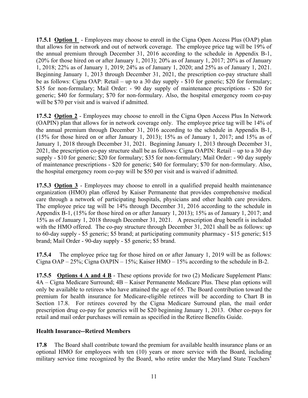**17.5.1 Option 1** - Employees may choose to enroll in the Cigna Open Access Plus (OAP) plan that allows for in network and out of network coverage. The employee price tag will be 19% of the annual premium through December 31, 2016 according to the schedule in Appendix B-1, (20% for those hired on or after January 1, 2013); 20% as of January 1, 2017; 20% as of January 1, 2018; 22% as of January 1, 2019; 24% as of January 1, 2020; and 25% as of January 1, 2021. Beginning January 1, 2013 through December 31, 2021, the prescription co-pay structure shall be as follows: Cigna OAP: Retail – up to a 30 day supply - \$10 for generic; \$20 for formulary; \$35 for non-formulary; Mail Order: - 90 day supply of maintenance prescriptions - \$20 for generic; \$40 for formulary; \$70 for non-formulary. Also, the hospital emergency room co-pay will be \$70 per visit and is waived if admitted.

**17.5.2 Option 2** - Employees may choose to enroll in the Cigna Open Access Plus In Network (OAPIN) plan that allows for in network coverage only. The employee price tag will be 14% of the annual premium through December 31, 2016 according to the schedule in Appendix B-1, (15% for those hired on or after January 1, 2013); 15% as of January 1, 2017; and 15% as of January 1, 2018 through December 31, 2021. Beginning January 1, 2013 through December 31, 2021, the prescription co-pay structure shall be as follows: Cigna OAPIN: Retail – up to a 30 day supply - \$10 for generic; \$20 for formulary; \$35 for non-formulary; Mail Order: - 90 day supply of maintenance prescriptions - \$20 for generic; \$40 for formulary; \$70 for non-formulary. Also, the hospital emergency room co-pay will be \$50 per visit and is waived if admitted.

**17.5.3 Option 3** - Employees may choose to enroll in a qualified prepaid health maintenance organization (HMO) plan offered by Kaiser Permanente that provides comprehensive medical care through a network of participating hospitals, physicians and other health care providers. The employee price tag will be 14% through December 31, 2016 according to the schedule in Appendix B-1, (15% for those hired on or after January 1, 2013); 15% as of January 1, 2017; and 15% as of January 1, 2018 through December 31, 2021. A prescription drug benefit is included with the HMO offered. The co-pay structure through December 31, 2021 shall be as follows: up to 60-day supply - \$5 generic; \$5 brand; at participating community pharmacy - \$15 generic; \$15 brand; Mail Order - 90-day supply - \$5 generic; \$5 brand.

**17.5.4** The employee price tag for those hired on or after January 1, 2019 will be as follows: Cigna OAP – 25%; Cigna OAPIN – 15%; Kaiser HMO – 15% according to the schedule in B-2.

**17.5.5 Options 4 A and 4 B** - These options provide for two (2) Medicare Supplement Plans: 4A – Cigna Medicare Surround; 4B – Kaiser Permanente Medicare Plus. These plan options will only be available to retirees who have attained the age of 65. The Board contribution toward the premium for health insurance for Medicare-eligible retirees will be according to Chart B in Section 17.8. For retirees covered by the Cigna Medicare Surround plan, the mail order prescription drug co-pay for generics will be \$20 beginning January 1, 2013. Other co-pays for retail and mail order purchases will remain as specified in the Retiree Benefits Guide.

#### **Health Insurance--Retired Members**

**17.8** The Board shall contribute toward the premium for available health insurance plans or an optional HMO for employees with ten (10) years or more service with the Board, including military service time recognized by the Board, who retire under the Maryland State Teachers'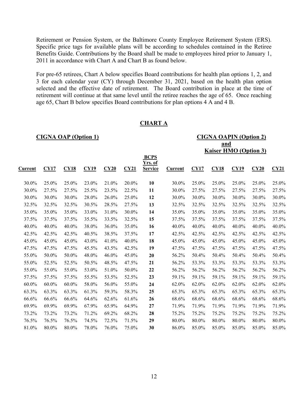Retirement or Pension System, or the Baltimore County Employee Retirement System (ERS). Specific price tags for available plans will be according to schedules contained in the Retiree Benefits Guide. Contributions by the Board shall be made to employees hired prior to January 1, 2011 in accordance with Chart A and Chart B as found below.

For pre-65 retirees, Chart A below specifies Board contributions for health plan options 1, 2, and 3 for each calendar year (CY) through December 31, 2021, based on the health plan option selected and the effective date of retirement. The Board contribution in place at the time of retirement will continue at that same level until the retiree reaches the age of 65. Once reaching age 65, Chart B below specifies Board contributions for plan options 4 A and 4 B.

| <b>CIGNA OAP (Option 1)</b> |             |          |       |       |       |                                  |         | <b>CIGNA OAPIN (Option 2)</b> |       |                              |       |       |
|-----------------------------|-------------|----------|-------|-------|-------|----------------------------------|---------|-------------------------------|-------|------------------------------|-------|-------|
|                             |             |          |       |       |       | and                              |         |                               |       |                              |       |       |
|                             |             |          |       |       |       |                                  |         |                               |       | <b>Kaiser HMO (Option 3)</b> |       |       |
|                             |             |          |       |       |       | <b>BCPS</b>                      |         |                               |       |                              |       |       |
| <u>Current</u>              | <b>CY17</b> | CY18     | CY19  | CY20  | CY21  | <u>Yrs. of</u><br><b>Service</b> | Current | CY17                          | CY18  | CY19                         | CY20  | CY21  |
|                             |             |          |       |       |       |                                  |         |                               |       |                              |       |       |
| 30.0%                       | 25.0%       | 25.0%    | 23.0% | 21.0% | 20.0% | 10                               | 30.0%   | 25.0%                         | 25.0% | 25.0%                        | 25.0% | 25.0% |
| 30.0%                       | 27.5%       | 27.5%    | 25.5% | 23.5% | 22.5% | 11                               | 30.0%   | 27.5%                         | 27.5% | 27.5%                        | 27.5% | 27.5% |
| 30.0%                       | 30.0%       | 30.0%    | 28.0% | 26.0% | 25.0% | 12                               | 30.0%   | 30.0%                         | 30.0% | 30.0%                        | 30.0% | 30.0% |
| 32.5%                       | 32.5%       | 32.5%    | 30.5% | 28.5% | 27.5% | 13                               | 32.5%   | 32.5%                         | 32.5% | 32.5%                        | 32.5% | 32.5% |
| 35.0%                       | 35.0%       | 35.0%    | 33.0% | 31.0% | 30.0% | 14                               | 35.0%   | 35.0%                         | 35.0% | 35.0%                        | 35.0% | 35.0% |
| 37.5%                       | 37.5%       | 37.5%    | 35.5% | 33.5% | 32.5% | 15                               | 37.5%   | 37.5%                         | 37.5% | 37.5%                        | 37.5% | 37.5% |
| 40.0%                       | 40.0%       | 40.0%    | 38.0% | 36.0% | 35.0% | 16                               | 40.0%   | 40.0%                         | 40.0% | 40.0%                        | 40.0% | 40.0% |
| 42.5%                       | 42.5%       | 42.5%    | 40.5% | 38.5% | 37.5% | 17                               | 42.5%   | 42.5%                         | 42.5% | 42.5%                        | 42.5% | 42.5% |
| 45.0%                       | 45.0%       | 45.0%    | 43.0% | 41.0% | 40.0% | 18                               | 45.0%   | 45.0%                         | 45.0% | 45.0%                        | 45.0% | 45.0% |
| 47.5%                       | 47.5%       | 47.5%    | 45.5% | 43.5% | 42.5% | 19                               | 47.5%   | 47.5%                         | 47.5% | 47.5%                        | 47.5% | 47.5% |
| 55.0%                       | 50.0%       | 50.0%    | 48.0% | 46.0% | 45.0% | 20                               | 56.2%   | 50.4%                         | 50.4% | 50.4%                        | 50.4% | 50.4% |
| 55.0%                       | 52.5%       | 52.5%    | 50.5% | 48.5% | 47.5% | 21                               | 56.2%   | 53.3%                         | 53.3% | 53.3%                        | 53.3% | 53.3% |
| 55.0%                       | 55.0%       | 55.0%    | 53.0% | 51.0% | 50.0% | 22                               | 56.2%   | 56.2%                         | 56.2% | 56.2%                        | 56.2% | 56.2% |
| 57.5%                       | 57.5%       | 57.5%    | 55.5% | 53.5% | 52.5% | 23                               | 59.1%   | 59.1%                         | 59.1% | 59.1%                        | 59.1% | 59.1% |
| $60.0\%$                    | 60.0%       | $60.0\%$ | 58.0% | 56.0% | 55.0% | 24                               | 62.0%   | 62.0%                         | 62.0% | 62.0%                        | 62.0% | 62.0% |
| 63.3%                       | 63.3%       | 63.3%    | 61.3% | 59.3% | 58.3% | 25                               | 65.3%   | 65.3%                         | 65.3% | 65.3%                        | 65.3% | 65.3% |
| 66.6%                       | 66.6%       | 66.6%    | 64.6% | 62.6% | 61.6% | 26                               | 68.6%   | 68.6%                         | 68.6% | 68.6%                        | 68.6% | 68.6% |
| 69.9%                       | 69.9%       | 69.9%    | 67.9% | 65.9% | 64.9% | 27                               | 71.9%   | 71.9%                         | 71.9% | 71.9%                        | 71.9% | 71.9% |
| 73.2%                       | 73.2%       | 73.2%    | 71.2% | 69.2% | 68.2% | 28                               | 75.2%   | 75.2%                         | 75.2% | 75.2%                        | 75.2% | 75.2% |
| 76.5%                       | 76.5%       | 76.5%    | 74.5% | 72.5% | 71.5% | 29                               | 80.0%   | 80.0%                         | 80.0% | 80.0%                        | 80.0% | 80.0% |
| 81.0%                       | 80.0%       | 80.0%    | 78.0% | 76.0% | 75.0% | 30                               | 86.0%   | 85.0%                         | 85.0% | 85.0%                        | 85.0% | 85.0% |

#### **CHART A**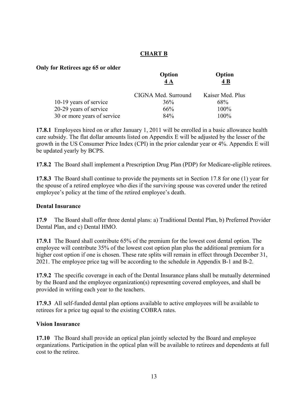#### **CHART B**

#### **Only for Retirees age 65 or older**

| Option<br>4A        | Option<br>4 B    |
|---------------------|------------------|
| CIGNA Med. Surround | Kaiser Med. Plus |
| 36%                 | 68%              |
| 66%                 | 100%             |
| 84%                 | 100%             |
|                     |                  |

**17.8.1** Employees hired on or after January 1, 2011 will be enrolled in a basic allowance health care subsidy. The flat dollar amounts listed on Appendix E will be adjusted by the lesser of the growth in the US Consumer Price Index (CPI) in the prior calendar year or 4%. Appendix E will be updated yearly by BCPS.

**17.8.2** The Board shall implement a Prescription Drug Plan (PDP) for Medicare-eligible retirees.

**17.8.3** The Board shall continue to provide the payments set in Section 17.8 for one (1) year for the spouse of a retired employee who dies if the surviving spouse was covered under the retired employee's policy at the time of the retired employee's death.

#### **Dental Insurance**

**17.9** The Board shall offer three dental plans: a) Traditional Dental Plan, b) Preferred Provider Dental Plan, and c) Dental HMO.

**17.9.1** The Board shall contribute 65% of the premium for the lowest cost dental option. The employee will contribute 35% of the lowest cost option plan plus the additional premium for a higher cost option if one is chosen. These rate splits will remain in effect through December 31, 2021. The employee price tag will be according to the schedule in Appendix B-1 and B-2.

**17.9.2** The specific coverage in each of the Dental Insurance plans shall be mutually determined by the Board and the employee organization(s) representing covered employees, and shall be provided in writing each year to the teachers.

**17.9.3** All self-funded dental plan options available to active employees will be available to retirees for a price tag equal to the existing COBRA rates.

#### **Vision Insurance**

**17.10** The Board shall provide an optical plan jointly selected by the Board and employee organizations. Participation in the optical plan will be available to retirees and dependents at full cost to the retiree.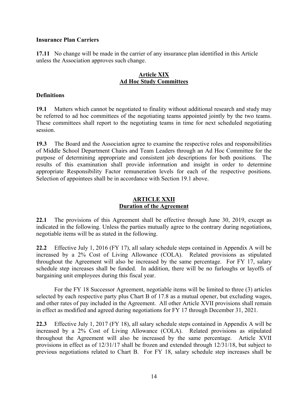#### **Insurance Plan Carriers**

**17.11** No change will be made in the carrier of any insurance plan identified in this Article unless the Association approves such change.

#### **Article XIX Ad Hoc Study Committees**

#### **Definitions**

**19.1** Matters which cannot be negotiated to finality without additional research and study may be referred to ad hoc committees of the negotiating teams appointed jointly by the two teams. These committees shall report to the negotiating teams in time for next scheduled negotiating session.

**19.3** The Board and the Association agree to examine the respective roles and responsibilities of Middle School Department Chairs and Team Leaders through an Ad Hoc Committee for the purpose of determining appropriate and consistent job descriptions for both positions. The results of this examination shall provide information and insight in order to determine appropriate Responsibility Factor remuneration levels for each of the respective positions. Selection of appointees shall be in accordance with Section 19.1 above.

#### **ARTICLE XXII Duration of the Agreement**

**22.1** The provisions of this Agreement shall be effective through June 30, 2019, except as indicated in the following. Unless the parties mutually agree to the contrary during negotiations, negotiable items will be as stated in the following.

**22.2** Effective July 1, 2016 (FY 17), all salary schedule steps contained in Appendix A will be increased by a 2% Cost of Living Allowance (COLA). Related provisions as stipulated throughout the Agreement will also be increased by the same percentage. For FY 17, salary schedule step increases shall be funded. In addition, there will be no furloughs or layoffs of bargaining unit employees during this fiscal year.

For the FY 18 Successor Agreement, negotiable items will be limited to three (3) articles selected by each respective party plus Chart B of 17.8 as a mutual opener, but excluding wages, and other rates of pay included in the Agreement. All other Article XVII provisions shall remain in effect as modified and agreed during negotiations for FY 17 through December 31, 2021.

**22.3** Effective July 1, 2017 (FY 18), all salary schedule steps contained in Appendix A will be increased by a 2% Cost of Living Allowance (COLA). Related provisions as stipulated throughout the Agreement will also be increased by the same percentage. Article XVII provisions in effect as of 12/31/17 shall be frozen and extended through 12/31/18, but subject to previous negotiations related to Chart B. For FY 18, salary schedule step increases shall be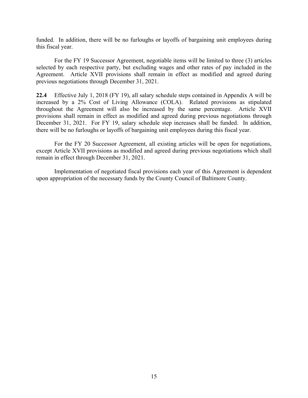funded. In addition, there will be no furloughs or layoffs of bargaining unit employees during this fiscal year.

For the FY 19 Successor Agreement, negotiable items will be limited to three (3) articles selected by each respective party, but excluding wages and other rates of pay included in the Agreement. Article XVII provisions shall remain in effect as modified and agreed during previous negotiations through December 31, 2021.

**22.4** Effective July 1, 2018 (FY 19), all salary schedule steps contained in Appendix A will be increased by a 2% Cost of Living Allowance (COLA). Related provisions as stipulated throughout the Agreement will also be increased by the same percentage. Article XVII provisions shall remain in effect as modified and agreed during previous negotiations through December 31, 2021. For FY 19, salary schedule step increases shall be funded. In addition, there will be no furloughs or layoffs of bargaining unit employees during this fiscal year.

For the FY 20 Successor Agreement, all existing articles will be open for negotiations, except Article XVII provisions as modified and agreed during previous negotiations which shall remain in effect through December 31, 2021.

Implementation of negotiated fiscal provisions each year of this Agreement is dependent upon appropriation of the necessary funds by the County Council of Baltimore County.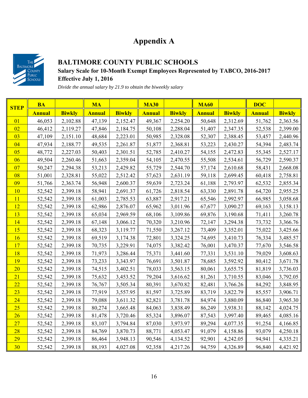### **Appendix A**



#### **BALTIMORE COUNTY PUBLIC SCHOOLS Salary Scale for 10-Month Exempt Employees Represented by TABCO, 2016-2017 Effective July 1, 2016**

*Divide the annual salary by 21.9 to obtain the biweekly salary* 

| <b>STEP</b> | <b>BA</b>     |               | <b>MA</b>     |               | <b>MA30</b>   |               | <b>MA60</b>   |               | <b>DOC</b>    |               |
|-------------|---------------|---------------|---------------|---------------|---------------|---------------|---------------|---------------|---------------|---------------|
|             | <b>Annual</b> | <b>Biwkly</b> | <b>Annual</b> | <b>Biwkly</b> | <b>Annual</b> | <b>Biwkly</b> | <b>Annual</b> | <b>Biwkly</b> | <b>Annual</b> | <b>Biwkly</b> |
| 01          | 46,053        | 2,102.88      | 47,139        | 2,152.47      | 49,367        | 2,254.20      | 50,648        | 2,312.69      | 51,762        | 2,363.56      |
| 02          | 46,412        | 2,119.27      | 47,846        | 2,184.75      | 50,108        | 2,288.04      | 51,407        | 2,347.35      | 52,538        | 2,399.00      |
| 03          | 47,109        | 2,151.10      | 48,684        | 2,223.01      | 50,985        | 2,328.08      | 52,307        | 2,388.45      | 53,457        | 2,440.96      |
| 04          | 47,934        | 2,188.77      | 49,535        | 2,261.87      | 51,877        | 2,368.81      | 53,223        | 2,430.27      | 54,394        | 2,483.74      |
| 05          | 48,772        | 2,227.03      | 50,403        | 2,301.51      | 52,785        | 2,410.27      | 54,155        | 2,472.83      | 55,345        | 2,527.17      |
| 06          | 49,504        | 2,260.46      | 51,663        | 2,359.04      | 54,105        | 2,470.55      | 55,508        | 2,534.61      | 56,729        | 2,590.37      |
| 07          | 50,247        | 2,294.38      | 53,213        | 2,429.82      | 55,729        | 2,544.70      | 57,174        | 2,610.68      | 58,431        | 2,668.08      |
| 08          | 51,001        | 2,328.81      | 55,022        | 2,512.42      | 57,623        | 2,631.19      | 59,118        | 2,699.45      | 60,418        | 2,758.81      |
| 09          | 51,766        | 2,363.74      | 56,948        | 2,600.37      | 59,639        | 2,723.24      | 61,188        | 2,793.97      | 62,532        | 2,855.34      |
| 10          | 52,542        | 2,399.18      | 58,941        | 2,691.37      | 61,726        | 2,818.54      | 63,330        | 2,891.78      | 64,720        | 2,955.25      |
| 11          | 52,542        | 2,399.18      | 61,003        | 2,785.53      | 63,887        | 2,917.21      | 65,546        | 2,992.97      | 66,985        | 3,058.68      |
| 12          | 52,542        | 2,399.18      | 62,986        | 2,876.07      | 65,962        | 3,011.96      | 67,677        | 3,090.27      | 69,163        | 3,158.13      |
| 13          | 52,542        | 2,399.18      | 65,034        | 2,969.59      | 68,106        | 3,109.86      | 69,876        | 3,190.68      | 71,411        | 3,260.78      |
| 14          | 52,542        | 2,399.18      | 67,148        | 3,066.12      | 70,320        | 3,210.96      | 72,147        | 3,294.38      | 73,732        | 3,366.76      |
| 15          | 52,542        | 2,399.18      | 68,323        | 3,119.77      | 71,550        | 3,267.12      | 73,409        | 3,352.01      | 75,022        | 3,425.66      |
| 16          | 52,542        | 2,399.18      | 69,519        | 3,174.38      | 72,801        | 3,324.25      | 74,695        | 3,410.73      | 76,334        | 3,485.57      |
| 17          | 52,542        | 2,399.18      | 70,735        | 3,229.91      | 74,075        | 3,382.42      | 76,001        | 3,470.37      | 77,670        | 3,546.58      |
| 18          | 52,542        | 2,399.18      | 71,973        | 3,286.44      | 75,371        | 3,441.60      | 77,331        | 3,531.10      | 79,029        | 3,608.63      |
| 19          | 52,542        | 2,399.18      | 73,233        | 3,343.97      | 76,691        | 3,501.87      | 78,685        | 3,592.92      | 80,412        | 3,671.78      |
| 20          | 52,542        | 2,399.18      | 74,515        | 3,402.51      | 78,033        | 3,563.15      | 80,061        | 3,655.75      | 81,819        | 3,736.03      |
| 21          | 52,542        | 2,399.18      | 75,632        | 3,453.52      | 79,204        | 3,616.62      | 81,261        | 3,710.55      | 83,046        | 3,792.05      |
| 22          | 52,542        | 2,399.18      | 76,767        | 3,505.34      | 80,391        | 3,670.82      | 82,481        | 3,766.26      | 84,292        | 3,848.95      |
| 23          | 52,542        | 2,399.18      | 77,919        | 3,557.95      | 81,597        | 3,725.89      | 83,719        | 3,822.79      | 85,557        | 3,906.71      |
| 24          | 52,542        | 2,399.18      | 79,088        | 3,611.32      | 82,821        | 3,781.78      | 84,974        | 3,880.09      | 86,840        | 3,965.30      |
| 25          | 52,542        | 2,399.18      | 80,274        | 3,665.48      | 84,063        | 3,838.49      | 86,249        | 3,938.31      | 88,142        | 4,024.75      |
| 26          | 52,542        | 2,399.18      | 81,478        | 3,720.46      | 85,324        | 3,896.07      | 87,543        | 3,997.40      | 89,465        | 4,085.16      |
| 27          | 52,542        | 2,399.18      | 83,107        | 3,794.84      | 87,030        | 3,973.97      | 89,294        | 4,077.35      | 91,254        | 4,166.85      |
| 28          | 52,542        | 2,399.18      | 84,769        | 3,870.73      | 88,771        | 4,053.47      | 91,079        | 4,158.86      | 93,079        | 4,250.18      |
| 29          | 52,542        | 2,399.18      | 86,464        | 3,948.13      | 90,546        | 4,134.52      | 92,901        | 4,242.05      | 94,941        | 4,335.21      |
| 30          | 52,542        | 2,399.18      | 88,193        | 4,027.08      | 92,358        | 4,217.26      | 94,759        | 4,326.89      | 96,840        | 4,421.92      |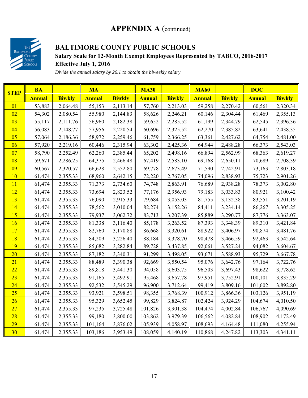### **APPENDIX A** (continued)



### **BALTIMORE COUNTY PUBLIC SCHOOLS**

#### **Salary Scale for 12-Month Exempt Employees Represented by TABCO, 2016-2017 Effective July 1, 2016**

*Divide the annual salary by 26.1 to obtain the biweekly salary* 

| <b>STEP</b> | <b>BA</b>     |               | <b>MA</b>     |               | <b>MA30</b>   |               | <b>MA60</b>   |               | <b>DOC</b>    |               |
|-------------|---------------|---------------|---------------|---------------|---------------|---------------|---------------|---------------|---------------|---------------|
|             | <b>Annual</b> | <b>Biwkly</b> | <b>Annual</b> | <b>Biwkly</b> | <b>Annual</b> | <b>Biwkly</b> | <b>Annual</b> | <b>Biwkly</b> | <b>Annual</b> | <b>Biwkly</b> |
| 01          | 53,883        | 2,064.48      | 55,153        | 2,113.14      | 57,760        | 2,213.03      | 59,258        | 2,270.42      | 60,561        | 2,320.34      |
| 02          | 54,302        | 2,080.54      | 55,980        | 2,144.83      | 58,626        | 2,246.21      | 60,146        | 2,304.44      | 61,469        | 2,355.13      |
| 03          | 55,117        | 2,111.76      | 56,960        | 2,182.38      | 59,652        | 2,285.52      | 61,199        | 2,344.79      | 62,545        | 2,396.36      |
| 04          | 56,083        | 2,148.77      | 57,956        | 2,220.54      | 60,696        | 2,325.52      | 62,270        | 2,385.82      | 63,641        | 2,438.35      |
| 05          | 57,064        | 2,186.36      | 58,972        | 2,259.46      | 61,759        | 2,366.25      | 63,361        | 2,427.62      | 64,754        | 2,481.00      |
| 06          | 57,920        | 2,219.16      | 60,446        | 2,315.94      | 63,302        | 2,425.36      | 64,944        | 2,488.28      | 66,373        | 2,543.03      |
| 07          | 58,790        | 2,252.49      | 62,260        | 2,385.44      | 65,202        | 2,498.16      | 66,894        | 2,562.99      | 68,363        | 2,619.27      |
| 08          | 59,671        | 2,286.25      | 64,375        | 2,466.48      | 67,419        | 2,583.10      | 69,168        | 2,650.11      | 70,689        | 2,708.39      |
| 09          | 60,567        | 2,320.57      | 66,628        | 2,552.80      | 69,778        | 2,673.49      | 71,590        | 2,742.91      | 73,163        | 2,803.18      |
| 10          | 61,474        | 2,355.33      | 68,960        | 2,642.15      | 72,220        | 2,767.05      | 74,096        | 2,838.93      | 75,723        | 2,901.26      |
| 11          | 61,474        | 2,355.33      | 71,373        | 2,734.60      | 74,748        | 2,863.91      | 76,689        | 2,938.28      | 78,373        | 3,002.80      |
| 12          | 61,474        | 2,355.33      | 73,694        | 2,823.52      | 77,176        | 2,956.93      | 79,183        | 3,033.83      | 80,921        | 3,100.42      |
| 13          | 61,474        | 2,355.33      | 76,090        | 2,915.33      | 79,684        | 3,053.03      | 81,755        | 3,132.38      | 83,551        | 3,201.19      |
| 14          | 61,474        | 2,355.33      | 78,562        | 3,010.04      | 82,274        | 3,152.26      | 84,411        | 3,234.14      | 86,267        | 3,305.25      |
| 15          | 61,474        | 2,355.33      | 79,937        | 3,062.72      | 83,713        | 3,207.39      | 85,889        | 3,290.77      | 87,776        | 3,363.07      |
| 16          | 61,474        | 2,355.33      | 81,338        | 3,116.40      | 85,178        | 3,263.52      | 87,393        | 3,348.39      | 89,310        | 3,421.84      |
| 17          | 61,474        | 2,355.33      | 82,760        | 3,170.88      | 86,668        | 3,320.61      | 88,922        | 3,406.97      | 90,874        | 3,481.76      |
| 18          | 61,474        | 2,355.33      | 84,209        | 3,226.40      | 88,184        | 3,378.70      | 90,478        | 3,466.59      | 92,463        | 3,542.64      |
| 19          | 61,474        | 2,355.33      | 85,682        | 3,282.84      | 89,728        | 3,437.85      | 92,061        | 3,527.24      | 94,082        | 3,604.67      |
| 20          | 61,474        | 2,355.33      | 87,182        | 3,340.31      | 91,299        | 3,498.05      | 93,671        | 3,588.93      | 95,729        | 3,667.78      |
| 21          | 61,474        | 2,355.33      | 88,489        | 3,390.38      | 92,669        | 3,550.54      | 95,076        | 3,642.76      | 97,164        | 3,722.76      |
| 22          | 61,474        | 2,355.33      | 89,818        | 3,441.30      | 94,058        | 3,603.75      | 96,503        | 3,697.43      | 98,622        | 3,778.62      |
| 23          | 61,474        | 2,355.33      | 91,165        | 3,492.91      | 95,468        | 3,657.78      | 97,951        | 3,752.91      | 100,101       | 3,835.29      |
| 24          | 61,474        | 2,355.33      | 92,532        | 3,545.29      | 96,900        | 3,712.64      | 99,419        | 3,809.16      | 101,602       | 3,892.80      |
| 25          | 61,474        | 2,355.33      | 93,921        | 3,598.51      | 98,355        | 3,768.39      | 100,912       | 3,866.36      | 103,126       | 3,951.19      |
| 26          | 61,474        | 2,355.33      | 95,329        | 3,652.45      | 99,829        | 3,824.87      | 102,424       | 3,924.29      | 104,674       | 4,010.50      |
| 27          | 61,474        | 2,355.33      | 97,235        | 3,725.48      | 101,826       | 3,901.38      | 104,474       | 4,002.84      | 106,767       | 4,090.69      |
| 28          | 61,474        | 2,355.33      | 99,180        | 3,800.00      | 103,862       | 3,979.39      | 106,562       | 4,082.84      | 108,902       | 4,172.49      |
| 29          | 61,474        | 2,355.33      | 101,164       | 3,876.02      | 105,939       | 4,058.97      | 108,693       | 4,164.48      | 111,080       | 4,255.94      |
| 30          | 61,474        | 2,355.33      | 103,186       | 3,953.49      | 108,059       | 4,140.19      | 110,868       | 4,247.82      | 113,303       | 4,341.11      |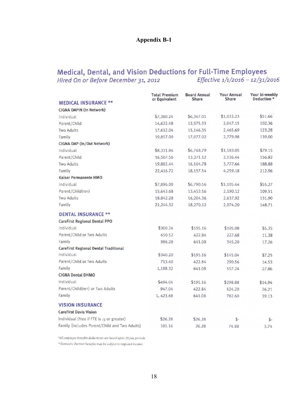#### **Appendix B-1**

## Medical, Dental, and Vision Deductions for Full-Time Employees<br>Hired On or Before December 31, 2012<br>Effective 1/1/2016 - 12/31/2016

|                                               | <b>Total Premium</b><br>or Equivalent | <b>Board Annual</b><br><b>Share</b> | <b>Your Annual</b><br><b>Share</b> | Your bi-weekly<br>Deduction * |
|-----------------------------------------------|---------------------------------------|-------------------------------------|------------------------------------|-------------------------------|
| <b>MEDICAL INSURANCE **</b>                   |                                       |                                     |                                    |                               |
| CIGNA OAPIN (In Network)                      |                                       |                                     |                                    |                               |
| Individual                                    | \$7,380.24                            | \$6,347.01                          | \$1,033.23                         | \$51.66                       |
| Parent/Child                                  | 14,622.48                             | 12,575.33                           | 2,047.15                           | 102.36                        |
| <b>Two Adults</b>                             | 17,612.04                             | 15,146.35                           | 2,465.69                           | 123.28                        |
| Family                                        | 19,857.00                             | 17,077.02                           | 2,779.98                           | 139.00                        |
| CIGNA OAP (In/Out Network)                    |                                       |                                     |                                    |                               |
| Individual                                    | \$8,331.84                            | \$6,748.79                          | \$1,583.05                         | \$79.15                       |
| Parent/Child                                  | 16,507.56                             | 13,371.12                           | 3,136.44                           | 156.82                        |
| <b>Two Adults</b>                             | 19,882.44                             | 16,104.78                           | 3,777.66                           | 188.88                        |
| Family                                        | 22,416.72                             | 18,157.54                           | 4,259.18                           | 212.96                        |
| <b>Kaiser Permanente HMO</b>                  |                                       |                                     |                                    |                               |
| Individual                                    | \$7,896.00                            | \$6,790.56                          | \$1,105.44                         | \$55.27                       |
| Parent/Child(ren)                             | 15,643.68                             | 13,453.56                           | 2,190.12                           | 109.51                        |
| <b>Two Adults</b>                             | 18,842.28                             | 16,204.36                           | 2,637.92                           | 131.90                        |
| Family                                        | 21,244.32                             | 18,270.12                           | 2,974.20                           | 148.71                        |
| <b>DENTAL INSURANCE **</b>                    |                                       |                                     |                                    |                               |
| <b>CareFirst Regional Dental PPO</b>          |                                       |                                     |                                    |                               |
| Individual                                    | \$300.24                              | \$195.16                            | \$105.08                           | \$5.25                        |
| Parent/Child or Two Adults                    | 650.52                                | 422.84                              | 227.68                             | 11.38                         |
| Family                                        | 986.28                                | 641.08                              | 345.20                             | 17.26                         |
| <b>CareFirst Regional Dental Traditional</b>  |                                       |                                     |                                    |                               |
| Individual                                    | \$340.20                              | \$195.16                            | \$145.04                           | \$7.25                        |
| Parent/Child or Two Adults                    | 713.40                                | 422.84                              | 290.56                             | 14.53                         |
| Family                                        | 1,198.32                              | 641.08                              | 557.24                             | 27.86                         |
| <b>CIGNA Dental DHMO</b>                      |                                       |                                     |                                    |                               |
| Individual                                    | \$494.04                              | \$195.16                            | \$298.88                           | \$14.94                       |
| Parent/Child(ren) or Two Adults               | 947.04                                | 422.84                              | 524.20                             | 26.21                         |
| Family                                        | 1, 423.68                             | 641.08                              | 782.60                             | 39.13                         |
| <b>VISION INSURANCE</b>                       |                                       |                                     |                                    |                               |
| <b>CareFirst Davis Vision</b>                 |                                       |                                     |                                    |                               |
| Individual (Free if FTE is .5 or greater)     | \$26.28                               | \$26.28                             | \$-                                | \$-                           |
| Family (includes Parent/Child and Two Adults) | 101.16                                | 26.28                               | 74.88                              | 3.74                          |

\*All employee benefits deductions are based upon 20 pay periods \*\*Domestic Partner benefits may be subject to imputed income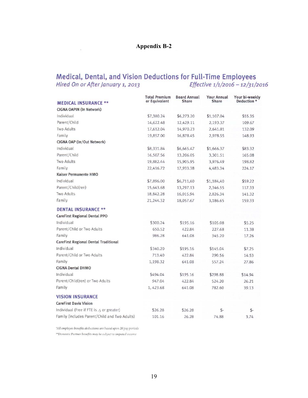## Medical, Dental, and Vision Deductions for Full-Time Employees<br>Hired On or After January 1, 2013<br>Effective 1/1/2016 - 12/31/2016

| <b>MEDICAL INSURANCE **</b>                   | <b>Total Premium</b><br>or Equivalent | <b>Board Annual</b><br><b>Share</b> | <b>Your Annual</b><br><b>Share</b> | Your bi-weekly<br>Deduction * |
|-----------------------------------------------|---------------------------------------|-------------------------------------|------------------------------------|-------------------------------|
| <b>CIGNA OAPIN (In Network)</b>               |                                       |                                     |                                    |                               |
| Individual                                    | \$7,380.24                            | \$6,273.20                          | \$1,107.04                         | \$55.35                       |
| Parent/Child                                  | 14,622.48                             | 12,429.11                           | 2,193.37                           | 109.67                        |
| <b>Two Adults</b>                             | 17,612.04                             | 14,970.23                           | 2,641.81                           | 132.09                        |
| Family                                        | 19,857.00                             | 16,878.45                           | 2,978.55                           | 148.93                        |
| CIGNA OAP (In/Out Network)                    |                                       |                                     |                                    |                               |
| Individual                                    | \$8,331.84                            | \$6,665.47                          | \$1,666.37                         | \$83.32                       |
| Parent/Child                                  | 16,507.56                             | 13,206.05                           | 3,301.51                           | 165.08                        |
| <b>Two Adults</b>                             | 19,882.44                             | 15,905.95                           | 3,976.49                           | 198.82                        |
| Family                                        | 22,416.72                             | 17,933.38                           | 4,483.34                           | 224.17                        |
| <b>Kaiser Permanente HMO</b>                  |                                       |                                     |                                    |                               |
| Individual                                    | \$7,896.00                            | \$6,711,60                          | \$1,184,40                         | \$59.22                       |
| Parent/Child(ren)                             | 15,643.68                             | 13,297.13                           | 2,346.55                           | 117.33                        |
| <b>Two Adults</b>                             | 18,842.28                             | 16,015.94                           | 2,826.34                           | 141.32                        |
| Family                                        | 21,244.32                             | 18,057.67                           | 3,186.65                           | 159.33                        |
| <b>DENTAL INSURANCE **</b>                    |                                       |                                     |                                    |                               |
| <b>CareFirst Regional Dental PPO</b>          |                                       |                                     |                                    |                               |
| Individual                                    | \$300.24                              | \$195.16                            | \$105.08                           | \$5.25                        |
| Parent/Child or Two Adults                    | 650.52                                | 422.84                              | 227.68                             | 11.38                         |
| Family                                        | 986.28                                | 641.08                              | 345.20                             | 17.26                         |
| <b>CareFirst Regional Dental Traditional</b>  |                                       |                                     |                                    |                               |
| Individual                                    | \$340.20                              | \$195.16                            | \$145.04                           | \$7.25                        |
| Parent/Child or Two Adults                    | 713.40                                | 422.84                              | 290.56                             | 14.53                         |
| Family                                        | 1,198.32                              | 641.08                              | 557.24                             | 27.86                         |
| <b>CIGNA Dental DHMO</b>                      |                                       |                                     |                                    |                               |
| Individual                                    | \$494.04                              | \$195.16                            | \$298.88                           | \$14.94                       |
| Parent/Child(ren) or Two Adults               | 947.04                                | 422.84                              | 524.20                             | 26.21                         |
| Family                                        | 1,423.68                              | 641.08                              | 782.60                             | 39.13                         |
| <b>VISION INSURANCE</b>                       |                                       |                                     |                                    |                               |
| <b>CareFirst Davis Vision</b>                 |                                       |                                     |                                    |                               |
| Individual (Free if FTE is .5 or greater)     | \$26.28                               | \$26.28                             | $$-$                               | $S-$                          |
| Family (includes Parent/Child and Two Adults) | 101.16                                | 26.28                               | 74.88                              | 3.74                          |

\*All employee benefits deductions are based upon 20 pay periods  $\mbox{\sc ``Domestic Partner benefits may be subject to imputed income}$ 

 $\alpha$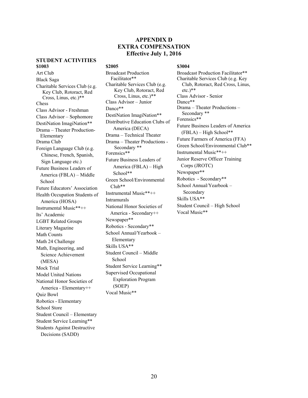#### **APPENDIX D EXTRA COMPENSATION Effective July 1, 2016**

#### **STUDENT ACTIVITIES \$1003** \$2005 \$2005 \$3004

Art Club Black Saga Charitable Services Club (e.g. Key Club, Rotoract, Red Cross, Linus, etc.)\*\* Chess Class Advisor - Freshman Class Advisor – Sophomore DestiNation ImagiNation\*\* Drama – Theater Production-Elementary Drama Club Foreign Language Club (e.g. Chinese, French, Spanish, Sign Language etc.) Future Business Leaders of America (FBLA) – Middle School Future Educators' Association Health Occupation Students of America (HOSA) Instrumental Music\*\*++ Its' Academic LGBT Related Groups Literary Magazine Math Counts Math 24 Challenge Math, Engineering, and Science Achievement (MESA) Mock Trial Model United Nations National Honor Societies of America - Elementary++ Quiz Bowl Robotics - Elementary School Store Student Council – Elementary Student Service Learning\*\* Students Against Destructive Decisions (SADD)

Broadcast Production Facilitator\*\* Charitable Services Club (e.g. Key Club, Rotoract, Red Cross, Linus, etc.)\*\* Class Advisor – Junior Dance\*\* DestiNation ImagiNation\*\* Distributive Education Clubs of America (DECA) Drama – Technical Theater Drama – Theater Productions - Secondary \*\* Forensics\*\* Future Business Leaders of America (FBLA) – High School\*\* Green School/Environmental Club\*\* Instrumental Music\*\*++ Intramurals National Honor Societies of America - Secondary++ Newspaper\*\* Robotics - Secondary\*\* School Annual/Yearbook – Elementary Skills USA\*\* Student Council – Middle School Student Service Learning\*\* Supervised Occupational Exploration Program (SOEP) Vocal Music\*\*

Broadcast Production Facilitator\*\* Charitable Services Club (e.g. Key Club, Rotoract, Red Cross, Linus,  $etc.$ <sup>\*\*</sup> Class Advisor - Senior Dance\*\* Drama – Theater Productions – Secondary \*\* Forensics\*\* Future Business Leaders of America (FBLA) – High School\*\* Future Farmers of America (FFA) Green School/Environmental Club\*\* Instrumental Music\*\*++ Junior Reserve Officer Training Corps (JROTC) Newspaper\*\* Robotics - Secondary\*\* School Annual/Yearbook – Secondary Skills USA\*\* Student Council – High School Vocal Music\*\*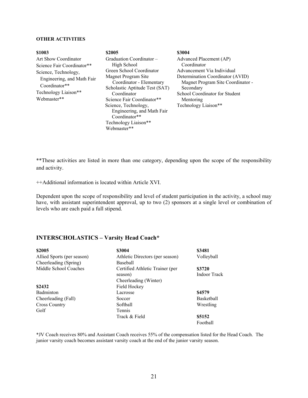#### **OTHER ACTIVITIES**

| \$1003                                                                                                                    | \$2005                                                                                                                                                   | \$3004                                                                                                                                                     |
|---------------------------------------------------------------------------------------------------------------------------|----------------------------------------------------------------------------------------------------------------------------------------------------------|------------------------------------------------------------------------------------------------------------------------------------------------------------|
| Art Show Coordinator<br>Science Fair Coordinator**<br>Science, Technology,<br>Engineering, and Math Fair<br>Coordinator** | Graduation Coordinator –<br>High School<br>Green School Coordinator<br>Magnet Program Site<br>Coordinator - Elementary<br>Scholastic Aptitude Test (SAT) | Advanced Placement (AP)<br>Coordinator<br>Advancement Via Individual<br>Determination Coordinator (AVID)<br>Magnet Program Site Coordinator -<br>Secondary |
| Technology Liaison**<br>Webmaster**                                                                                       | Coordinator<br>Science Fair Coordinator**                                                                                                                | School Coordinator for Student<br>Mentoring                                                                                                                |
|                                                                                                                           | Science, Technology,<br>Engineering, and Math Fair<br>Coordinator**<br>Technology Liaison**                                                              | Technology Liaison**                                                                                                                                       |

\*\*These activities are listed in more than one category, depending upon the scope of the responsibility and activity.

++Additional information is located within Article XVI.

Webmaster\*\*

Dependent upon the scope of responsibility and level of student participation in the activity, a school may have, with assistant superintendent approval, up to two (2) sponsors at a single level or combination of levels who are each paid a full stipend.

#### **INTERSCHOLASTICS – Varsity Head Coach\***

| \$2005                     | \$3004                          | \$3481            |
|----------------------------|---------------------------------|-------------------|
| Allied Sports (per season) | Athletic Directors (per season) | Volleyball        |
| Cheerleading (Spring)      | <b>Baseball</b>                 |                   |
| Middle School Coaches      | Certified Athletic Trainer (per | \$3720            |
|                            | season)                         | Indoor Track      |
|                            | Cheerleading (Winter)           |                   |
| \$2432                     | Field Hockey                    |                   |
| <b>Badminton</b>           | Lacrosse                        | \$4579            |
| Cheerleading (Fall)        | Soccer                          | <b>Basketball</b> |
| <b>Cross Country</b>       | Softball                        | Wrestling         |
| Golf                       | <b>Tennis</b>                   |                   |
|                            | Track & Field                   | \$5152            |
|                            |                                 | Football          |

\*JV Coach receives 80% and Assistant Coach receives 55% of the compensation listed for the Head Coach. The junior varsity coach becomes assistant varsity coach at the end of the junior varsity season.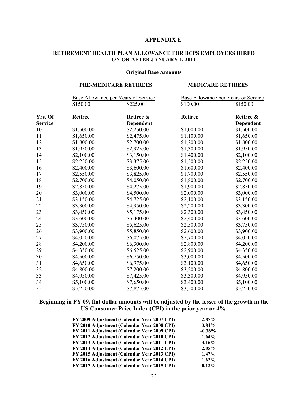#### **APPENDIX E**

#### **RETIREMENT HEALTH PLAN ALLOWANCE FOR BCPS EMPLOYEES HIRED ON OR AFTER JANUARY 1, 2011**

#### **Original Base Amounts**

#### **PRE-MEDICARE RETIREES MEDICARE RETIREES**

|                |                | Base Allowance per Years of Service | <b>Base Allowance per Years or Service</b> |                  |  |
|----------------|----------------|-------------------------------------|--------------------------------------------|------------------|--|
|                | \$150.00       | \$225.00                            | \$100.00                                   | \$150.00         |  |
| Yrs. Of        | <b>Retiree</b> | Retiree &                           | <b>Retiree</b>                             | Retiree &        |  |
| <u>Service</u> |                | <b>Dependent</b>                    |                                            | <b>Dependent</b> |  |
| 10             | \$1,500.00     | \$2,250.00                          | \$1,000.00                                 | \$1,500.00       |  |
| 11             | \$1,650.00     | \$2,475.00                          | \$1,100.00                                 | \$1,650.00       |  |
| 12             | \$1,800.00     | \$2,700.00                          | \$1,200.00                                 | \$1,800.00       |  |
| 13             | \$1,950.00     | \$2,925.00                          | \$1,300.00                                 | \$1,950.00       |  |
| 14             | \$2,100.00     | \$3,150.00                          | \$1,400.00                                 | \$2,100.00       |  |
| 15             | \$2,250.00     | \$3,375.00                          | \$1,500.00                                 | \$2,250.00       |  |
| 16             | \$2,400.00     | \$3,600.00                          | \$1,600.00                                 | \$2,400.00       |  |
| 17             | \$2,550.00     | \$3,825.00                          | \$1,700.00                                 | \$2,550.00       |  |
| 18             | \$2,700.00     | \$4,050.00                          | \$1,800.00                                 | \$2,700.00       |  |
| 19             | \$2,850.00     | \$4,275.00                          | \$1,900.00                                 | \$2,850.00       |  |
| 20             | \$3,000.00     | \$4,500.00                          | \$2,000.00                                 | \$3,000.00       |  |
| 21             | \$3,150.00     | \$4.725.00                          | \$2,100.00                                 | \$3,150.00       |  |
| 22             | \$3,300.00     | \$4,950.00                          | \$2,200.00                                 | \$3,300.00       |  |
| 23             | \$3,450.00     | \$5,175.00                          | \$2,300.00                                 | \$3,450.00       |  |
| 24             | \$3,600.00     | \$5,400.00                          | \$2,400.00                                 | \$3,600.00       |  |
| 25             | \$3,750.00     | \$5,625.00                          | \$2,500.00                                 | \$3,750.00       |  |
| 26             | \$3,900.00     | \$5,850.00                          | \$2,600.00                                 | \$3,900.00       |  |
| 27             | \$4,050.00     | \$6,075.00                          | \$2,700.00                                 | \$4,050.00       |  |
| 28             | \$4,200.00     | \$6,300.00                          | \$2,800.00                                 | \$4,200.00       |  |
| 29             | \$4,350.00     | \$6,525.00                          | \$2,900.00                                 | \$4,350.00       |  |
| 30             | \$4,500.00     | \$6,750.00                          | \$3,000.00                                 | \$4,500.00       |  |
| 31             | \$4,650.00     | \$6,975.00                          | \$3,100.00                                 | \$4,650.00       |  |
| 32             | \$4,800.00     | \$7,200.00                          | \$3,200.00                                 | \$4,800.00       |  |
| 33             | \$4,950.00     | \$7,425.00                          | \$3,300.00                                 | \$4,950.00       |  |
| 34             | \$5,100.00     | \$7,650.00                          | \$3,400.00                                 | \$5,100.00       |  |
| 35             | \$5,250.00     | \$7,875.00                          | \$3,500.00                                 | \$5,250.00       |  |

#### **Beginning in FY 09, flat dollar amounts will be adjusted by the lesser of the growth in the US Consumer Price Index (CPI) in the prior year or 4%.**

| FY 2009 Adjustment (Calendar Year 2007 CPI) | 2.85%    |
|---------------------------------------------|----------|
| FY 2010 Adjustment (Calendar Year 2008 CPI) | 3.84%    |
| FY 2011 Adjustment (Calendar Year 2009 CPI) | $-0.36%$ |
| FY 2012 Adjustment (Calendar Year 2010 CPI) | 1.64%    |
| FY 2013 Adjustment (Calendar Year 2011 CPI) | 3.16%    |
| FY 2014 Adjustment (Calendar Year 2012 CPI) | 2.05%    |
| FY 2015 Adjustment (Calendar Year 2013 CPI) | 1.47%    |
| FY 2016 Adjustment (Calendar Year 2014 CPI) | 1.62%    |
| FY 2017 Adjustment (Calendar Year 2015 CPI) | 0.12%    |
|                                             |          |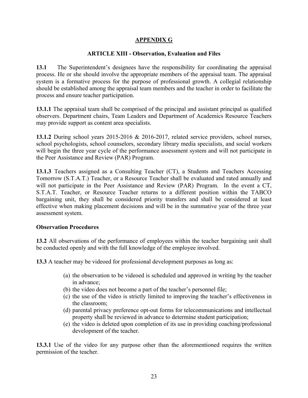#### **APPENDIX G**

#### **ARTICLE XIII - Observation, Evaluation and Files**

**13.1** The Superintendent's designees have the responsibility for coordinating the appraisal process. He or she should involve the appropriate members of the appraisal team. The appraisal system is a formative process for the purpose of professional growth. A collegial relationship should be established among the appraisal team members and the teacher in order to facilitate the process and ensure teacher participation.

**13.1.1** The appraisal team shall be comprised of the principal and assistant principal as qualified observers. Department chairs, Team Leaders and Department of Academics Resource Teachers may provide support as content area specialists.

**13.1.2** During school years 2015-2016 & 2016-2017, related service providers, school nurses, school psychologists, school counselors, secondary library media specialists, and social workers will begin the three year cycle of the performance assessment system and will not participate in the Peer Assistance and Review (PAR) Program.

**13.1.3** Teachers assigned as a Consulting Teacher (CT), a Students and Teachers Accessing Tomorrow (S.T.A.T.) Teacher, or a Resource Teacher shall be evaluated and rated annually and will not participate in the Peer Assistance and Review (PAR) Program. In the event a CT, S.T.A.T. Teacher, or Resource Teacher returns to a different position within the TABCO bargaining unit, they shall be considered priority transfers and shall be considered at least effective when making placement decisions and will be in the summative year of the three year assessment system.

#### **Observation Procedures**

**13.2** All observations of the performance of employees within the teacher bargaining unit shall be conducted openly and with the full knowledge of the employee involved.

**13.3** A teacher may be videoed for professional development purposes as long as:

- (a) the observation to be videoed is scheduled and approved in writing by the teacher in advance;
- (b) the video does not become a part of the teacher's personnel file;
- (c) the use of the video is strictly limited to improving the teacher's effectiveness in the classroom;
- (d) parental privacy preference opt-out forms for telecommunications and intellectual property shall be reviewed in advance to determine student participation;
- (e) the video is deleted upon completion of its use in providing coaching/professional development of the teacher.

**13.3.1** Use of the video for any purpose other than the aforementioned requires the written permission of the teacher.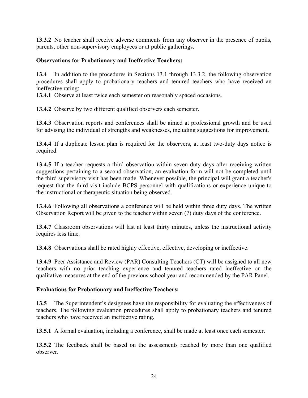**13.3.2** No teacher shall receive adverse comments from any observer in the presence of pupils, parents, other non-supervisory employees or at public gatherings.

#### **Observations for Probationary and Ineffective Teachers:**

**13.4** In addition to the procedures in Sections 13.1 through 13.3.2, the following observation procedures shall apply to probationary teachers and tenured teachers who have received an ineffective rating:

**13.4.1** Observe at least twice each semester on reasonably spaced occasions.

**13.4.2** Observe by two different qualified observers each semester.

**13.4.3** Observation reports and conferences shall be aimed at professional growth and be used for advising the individual of strengths and weaknesses, including suggestions for improvement.

**13.4.4** If a duplicate lesson plan is required for the observers, at least two-duty days notice is required.

**13.4.5** If a teacher requests a third observation within seven duty days after receiving written suggestions pertaining to a second observation, an evaluation form will not be completed until the third supervisory visit has been made. Whenever possible, the principal will grant a teacher's request that the third visit include BCPS personnel with qualifications or experience unique to the instructional or therapeutic situation being observed.

**13.4.6** Following all observations a conference will be held within three duty days. The written Observation Report will be given to the teacher within seven (7) duty days of the conference.

**13.4.7** Classroom observations will last at least thirty minutes, unless the instructional activity requires less time.

**13.4.8** Observations shall be rated highly effective, effective, developing or ineffective.

**13.4.9** Peer Assistance and Review (PAR) Consulting Teachers (CT) will be assigned to all new teachers with no prior teaching experience and tenured teachers rated ineffective on the qualitative measures at the end of the previous school year and recommended by the PAR Panel.

#### **Evaluations for Probationary and Ineffective Teachers:**

**13.5** The Superintendent's designees have the responsibility for evaluating the effectiveness of teachers. The following evaluation procedures shall apply to probationary teachers and tenured teachers who have received an ineffective rating.

**13.5.1** A formal evaluation, including a conference, shall be made at least once each semester.

**13.5.2** The feedback shall be based on the assessments reached by more than one qualified observer.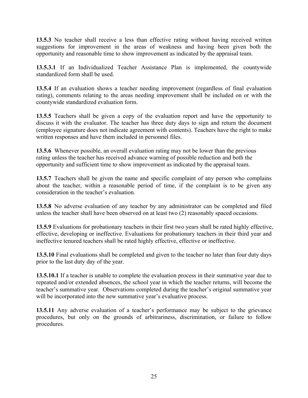**13.5.3** No teacher shall receive a less than effective rating without having received written suggestions for improvement in the areas of weakness and having been given both the opportunity and reasonable time to show improvement as indicated by the appraisal team.

**13.5.3.1** If an Individualized Teacher Assistance Plan is implemented, the countywide standardized form shall be used.

**13.5.4** If an evaluation shows a teacher needing improvement (regardless of final evaluation rating), comments relating to the areas needing improvement shall be included on or with the countywide standardized evaluation form.

**13.5.5** Teachers shall be given a copy of the evaluation report and have the opportunity to discuss it with the evaluator. The teacher has three duty days to sign and return the document (employee signature does not indicate agreement with contents). Teachers have the right to make written responses and have them included in personnel files.

**13.5.6** Whenever possible, an overall evaluation rating may not be lower than the previous rating unless the teacher has received advance warning of possible reduction and both the opportunity and sufficient time to show improvement as indicated by the appraisal team.

**13.5.7** Teachers shall be given the name and specific complaint of any person who complains about the teacher, within a reasonable period of time, if the complaint is to be given any consideration in the teacher's evaluation.

**13.5.8** No adverse evaluation of any teacher by any administrator can be completed and filed unless the teacher shall have been observed on at least two (2) reasonably spaced occasions.

**13.5.9** Evaluations for probationary teachers in their first two years shall be rated highly effective, effective, developing or ineffective. Evaluations for probationary teachers in their third year and ineffective tenured teachers shall be rated highly effective, effective or ineffective.

**13.5.10** Final evaluations shall be completed and given to the teacher no later than four duty days prior to the last duty day of the year.

**13.5.10.1** If a teacher is unable to complete the evaluation process in their summative year due to repeated and/or extended absences, the school year in which the teacher returns, will become the teacher's summative year. Observations completed during the teacher's original summative year will be incorporated into the new summative year's evaluative process.

**13.5.11** Any adverse evaluation of a teacher's performance may be subject to the grievance procedures, but only on the grounds of arbitrariness, discrimination, or failure to follow procedures.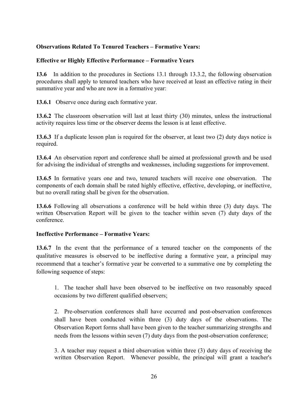#### **Observations Related To Tenured Teachers – Formative Years:**

#### **Effective or Highly Effective Performance – Formative Years**

**13.6** In addition to the procedures in Sections 13.1 through 13.3.2, the following observation procedures shall apply to tenured teachers who have received at least an effective rating in their summative year and who are now in a formative year:

**13.6.1** Observe once during each formative year.

**13.6.2** The classroom observation will last at least thirty (30) minutes, unless the instructional activity requires less time or the observer deems the lesson is at least effective.

**13.6.3** If a duplicate lesson plan is required for the observer, at least two (2) duty days notice is required.

**13.6.4** An observation report and conference shall be aimed at professional growth and be used for advising the individual of strengths and weaknesses, including suggestions for improvement.

**13.6.5** In formative years one and two, tenured teachers will receive one observation. The components of each domain shall be rated highly effective, effective, developing, or ineffective, but no overall rating shall be given for the observation.

**13.6.6** Following all observations a conference will be held within three (3) duty days. The written Observation Report will be given to the teacher within seven (7) duty days of the conference.

#### **Ineffective Performance – Formative Years:**

**13.6.7** In the event that the performance of a tenured teacher on the components of the qualitative measures is observed to be ineffective during a formative year, a principal may recommend that a teacher's formative year be converted to a summative one by completing the following sequence of steps:

1. The teacher shall have been observed to be ineffective on two reasonably spaced occasions by two different qualified observers;

2. Pre-observation conferences shall have occurred and post-observation conferences shall have been conducted within three (3) duty days of the observations. The Observation Report forms shall have been given to the teacher summarizing strengths and needs from the lessons within seven (7) duty days from the post-observation conference;

3. A teacher may request a third observation within three (3) duty days of receiving the written Observation Report. Whenever possible, the principal will grant a teacher's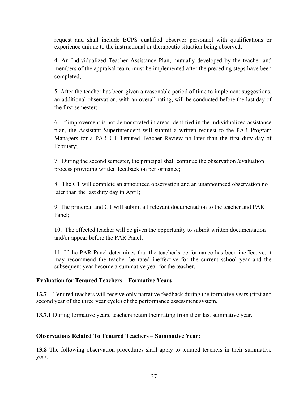request and shall include BCPS qualified observer personnel with qualifications or experience unique to the instructional or therapeutic situation being observed;

4. An Individualized Teacher Assistance Plan, mutually developed by the teacher and members of the appraisal team, must be implemented after the preceding steps have been completed;

5. After the teacher has been given a reasonable period of time to implement suggestions, an additional observation, with an overall rating, will be conducted before the last day of the first semester;

6. If improvement is not demonstrated in areas identified in the individualized assistance plan, the Assistant Superintendent will submit a written request to the PAR Program Managers for a PAR CT Tenured Teacher Review no later than the first duty day of February;

7. During the second semester, the principal shall continue the observation /evaluation process providing written feedback on performance;

8. The CT will complete an announced observation and an unannounced observation no later than the last duty day in April;

9. The principal and CT will submit all relevant documentation to the teacher and PAR Panel;

10. The effected teacher will be given the opportunity to submit written documentation and/or appear before the PAR Panel;

 11. If the PAR Panel determines that the teacher's performance has been ineffective, it may recommend the teacher be rated ineffective for the current school year and the subsequent year become a summative year for the teacher.

#### **Evaluation for Tenured Teachers – Formative Years**

**13.7** Tenured teachers will receive only narrative feedback during the formative years (first and second year of the three year cycle) of the performance assessment system.

**13.7.1** During formative years, teachers retain their rating from their last summative year.

#### **Observations Related To Tenured Teachers – Summative Year:**

**13.8** The following observation procedures shall apply to tenured teachers in their summative year: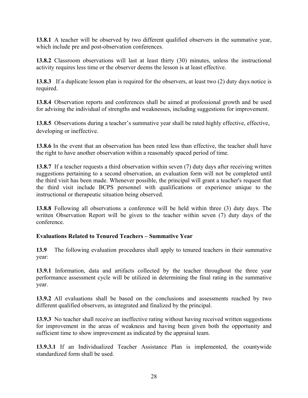**13.8.1** A teacher will be observed by two different qualified observers in the summative year, which include pre and post-observation conferences.

**13.8.2** Classroom observations will last at least thirty (30) minutes, unless the instructional activity requires less time or the observer deems the lesson is at least effective.

**13.8.3** If a duplicate lesson plan is required for the observers, at least two (2) duty days notice is required.

**13.8.4** Observation reports and conferences shall be aimed at professional growth and be used for advising the individual of strengths and weaknesses, including suggestions for improvement.

**13.8.5** Observations during a teacher's summative year shall be rated highly effective, effective, developing or ineffective.

**13.8.6** In the event that an observation has been rated less than effective, the teacher shall have the right to have another observation within a reasonably spaced period of time.

**13.8.7** If a teacher requests a third observation within seven (7) duty days after receiving written suggestions pertaining to a second observation, an evaluation form will not be completed until the third visit has been made. Whenever possible, the principal will grant a teacher's request that the third visit include BCPS personnel with qualifications or experience unique to the instructional or therapeutic situation being observed.

**13.8.8** Following all observations a conference will be held within three (3) duty days. The written Observation Report will be given to the teacher within seven (7) duty days of the conference.

#### **Evaluations Related to Tenured Teachers – Summative Year**

**13.9** The following evaluation procedures shall apply to tenured teachers in their summative year:

**13.9.1** Information, data and artifacts collected by the teacher throughout the three year performance assessment cycle will be utilized in determining the final rating in the summative year.

**13.9.2** All evaluations shall be based on the conclusions and assessments reached by two different qualified observers, as integrated and finalized by the principal.

**13.9.3** No teacher shall receive an ineffective rating without having received written suggestions for improvement in the areas of weakness and having been given both the opportunity and sufficient time to show improvement as indicated by the appraisal team.

**13.9.3.1** If an Individualized Teacher Assistance Plan is implemented, the countywide standardized form shall be used.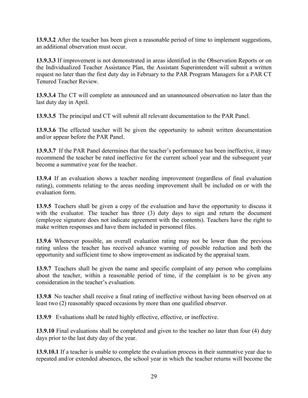**13.9.3.2** After the teacher has been given a reasonable period of time to implement suggestions, an additional observation must occur.

**13.9.3.3** If improvement is not demonstrated in areas identified in the Observation Reports or on the Individualized Teacher Assistance Plan, the Assistant Superintendent will submit a written request no later than the first duty day in February to the PAR Program Managers for a PAR CT Tenured Teacher Review.

**13.9.3.4** The CT will complete an announced and an unannounced observation no later than the last duty day in April.

**13.9.3.5** The principal and CT will submit all relevant documentation to the PAR Panel.

**13.9.3.6** The effected teacher will be given the opportunity to submit written documentation and/or appear before the PAR Panel.

**13.9.3.7** If the PAR Panel determines that the teacher's performance has been ineffective, it may recommend the teacher be rated ineffective for the current school year and the subsequent year become a summative year for the teacher.

**13.9.4** If an evaluation shows a teacher needing improvement (regardless of final evaluation rating), comments relating to the areas needing improvement shall be included on or with the evaluation form.

**13.9.5** Teachers shall be given a copy of the evaluation and have the opportunity to discuss it with the evaluator. The teacher has three (3) duty days to sign and return the document (employee signature does not indicate agreement with the contents). Teachers have the right to make written responses and have them included in personnel files.

**13.9.6** Whenever possible, an overall evaluation rating may not be lower than the previous rating unless the teacher has received advance warning of possible reduction and both the opportunity and sufficient time to show improvement as indicated by the appraisal team.

**13.9.7** Teachers shall be given the name and specific complaint of any person who complains about the teacher, within a reasonable period of time, if the complaint is to be given any consideration in the teacher's evaluation.

**13.9.8** No teacher shall receive a final rating of ineffective without having been observed on at least two (2) reasonably spaced occasions by more than one qualified observer.

**13.9.9** Evaluations shall be rated highly effective, effective, or ineffective.

**13.9.10** Final evaluations shall be completed and given to the teacher no later than four (4) duty days prior to the last duty day of the year.

**13.9.10.1** If a teacher is unable to complete the evaluation process in their summative year due to repeated and/or extended absences, the school year in which the teacher returns will become the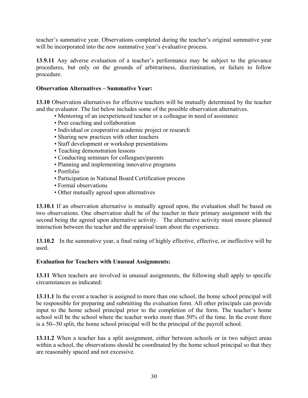teacher's summative year. Observations completed during the teacher's original summative year will be incorporated into the new summative year's evaluative process.

**13.9.11** Any adverse evaluation of a teacher's performance may be subject to the grievance procedures, but only on the grounds of arbitrariness, discrimination, or failure to follow procedure.

#### **Observation Alternatives – Summative Year:**

**13.10** Observation alternatives for effective teachers will be mutually determined by the teacher and the evaluator. The list below includes some of the possible observation alternatives.

- Mentoring of an inexperienced teacher or a colleague in need of assistance
- Peer coaching and collaboration
- Individual or cooperative academic project or research
- Sharing new practices with other teachers
- Staff development or workshop presentations
- Teaching demonstration lessons
- Conducting seminars for colleagues/parents
- Planning and implementing innovative programs
- Portfolio
- Participation in National Board Certification process
- Formal observations
- Other mutually agreed upon alternatives

**13.10.1** If an observation alternative is mutually agreed upon, the evaluation shall be based on two observations. One observation shall be of the teacher in their primary assignment with the second being the agreed upon alternative activity. The alternative activity must ensure planned interaction between the teacher and the appraisal team about the experience.

**13.10.2** In the summative year, a final rating of highly effective, effective, or ineffective will be used.

#### **Evaluation for Teachers with Unusual Assignments:**

**13.11** When teachers are involved in unusual assignments, the following shall apply to specific circumstances as indicated:

**13.11.1** In the event a teacher is assigned to more than one school, the home school principal will be responsible for preparing and submitting the evaluation form. All other principals can provide input to the home school principal prior to the completion of the form. The teacher's home school will be the school where the teacher works more than 50% of the time. In the event there is a 50--50 split, the home school principal will be the principal of the payroll school.

**13.11.2** When a teacher has a split assignment, either between schools or in two subject areas within a school, the observations should be coordinated by the home school principal so that they are reasonably spaced and not excessive.